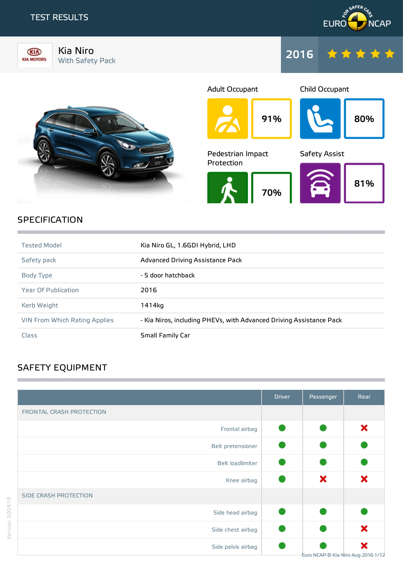## TEST RESULTS

KIN **KIA MOTORS** 





Kia Niro





## **SPECIFICATION**

| <b>Tested Model</b>                  | Kia Niro GL, 1.6GDI Hybrid, LHD                                     |
|--------------------------------------|---------------------------------------------------------------------|
| Safety pack                          | Advanced Driving Assistance Pack                                    |
| Body Type                            | - 5 door hatchback                                                  |
| <b>Year Of Publication</b>           | 2016                                                                |
| Kerb Weight                          | 1414ka                                                              |
| <b>VIN From Which Rating Applies</b> | - Kia Niros, including PHEVs, with Advanced Driving Assistance Pack |
| Class                                | <b>Small Family Car</b>                                             |

,我们的人们就会在这里,我们的人们就会在这里,我们的人们就会在这里,我们的人们就会在这里,我们的人们就会在这里,我们的人们就会在这里,我们的人们就会不会在这里,

## SAFETY EQUIPMENT

|                          | <b>Driver</b> | Passenger                          | Rear |
|--------------------------|---------------|------------------------------------|------|
| FRONTAL CRASH PROTECTION |               |                                    |      |
| Frontal airbag           |               |                                    | ×    |
| Belt pretensioner        |               |                                    |      |
| Belt loadlimiter         |               |                                    |      |
| Knee airbag              |               | ×                                  | ×    |
| SIDE CRASH PROTECTION    |               |                                    |      |
| Side head airbag         |               |                                    |      |
| Side chest airbag        |               |                                    | ×    |
| Side pelvis airbag       |               | Euro NCAP © Kia Niro Aug 2016 1/12 | ×    |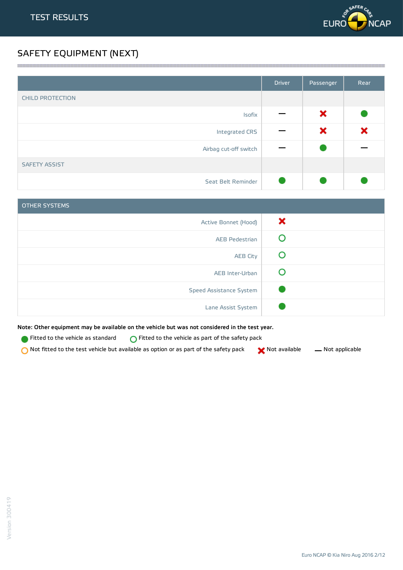

## SAFETY EQUIPMENT (NEXT)

|                         | <b>Driver</b> | Passenger | Rear |
|-------------------------|---------------|-----------|------|
| <b>CHILD PROTECTION</b> |               |           |      |
| Isofix                  |               | ×         |      |
| Integrated CRS          |               | ×         | ×    |
| Airbag cut-off switch   |               |           |      |
| <b>SAFETY ASSIST</b>    |               |           |      |
| Seat Belt Reminder      |               |           |      |

<u> 1989 - Andrea Stadt Stadt Stadt Stadt Stadt Stadt Stadt Stadt Stadt Stadt Stadt Stadt Stadt Stadt Stadt Stadt Stadt Stadt Stadt Stadt Stadt Stadt Stadt Stadt Stadt Stadt Stadt Stadt Stadt Stadt Stadt Stadt Stadt Stadt St</u>

| <b>OTHER SYSTEMS</b>    |   |
|-------------------------|---|
| Active Bonnet (Hood)    | × |
| <b>AEB Pedestrian</b>   |   |
| <b>AEB City</b>         |   |
| AEB Inter-Urban         |   |
| Speed Assistance System |   |
| Lane Assist System      |   |

Note: Other equipment may be available on the vehicle but was not considered in the test year.

Fitted to the vehicle as standard  $\bigcirc$  Fitted to the vehicle as part of the safety pack

 $\bigcirc$  Not fitted to the test vehicle but available as option or as part of the safety pack  $\bigcirc$  Not available  $\qquad$  Not applicable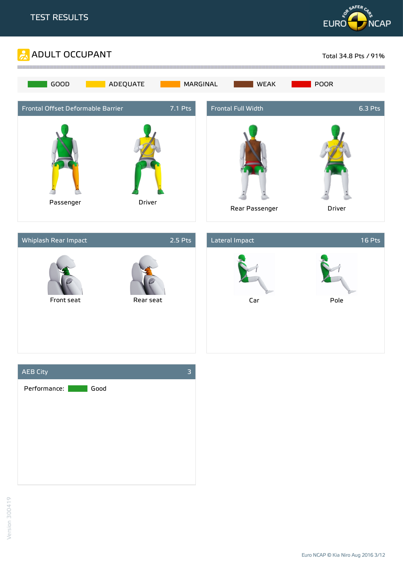







Version 300419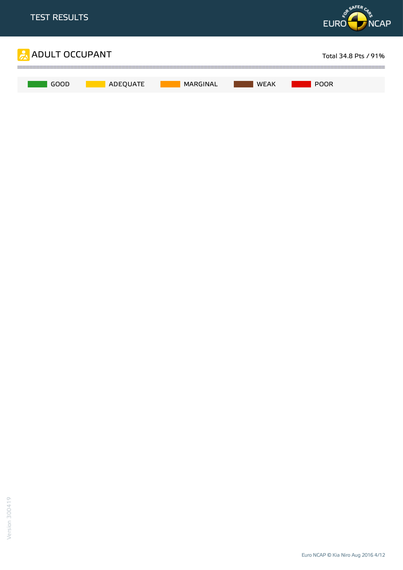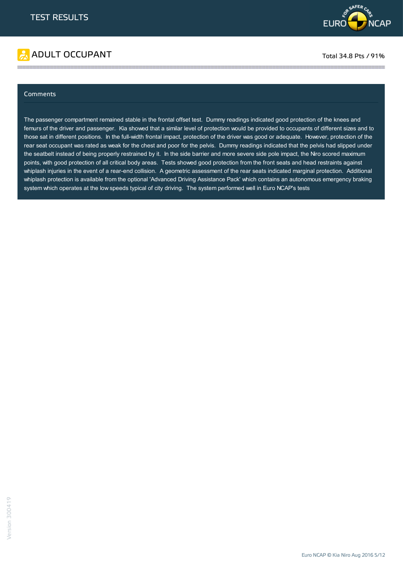



#### Comments

The passenger compartment remained stable in the frontal offset test. Dummy readings indicated good protection of the knees and femurs of the driver and passenger. Kia showed that a similar level of protection would be provided to occupants of different sizes and to those sat in different positions. In the full-width frontal impact, protection of the driver was good or adequate. However, protection of the rear seat occupant was rated as weak for the chest and poor for the pelvis. Dummy readings indicated that the pelvis had slipped under the seatbelt instead of being properly restrained by it. In the side barrier and more severe side pole impact, the Niro scored maximum points, with good protection of all critical body areas. Tests showed good protection from the front seats and head restraints against whiplash injuries in the event of a rear-end collision. A geometric assessment of the rear seats indicated marginal protection. Additional whiplash protection is available from the optional 'Advanced Driving Assistance Pack' which contains an autonomous emergency braking system which operates at the low speeds typical of city driving. The system performed well in Euro NCAP's tests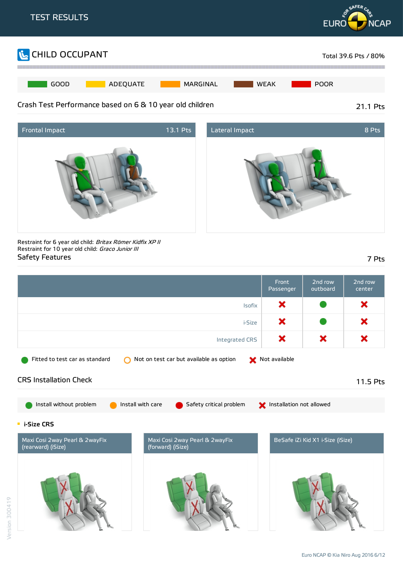





Restraint for 6 year old child: Britax Römer Kidfix XP II Restraint for 10 year old child: Graco Junior III Safety Features 7 Pts

|                                                      |                                                     | Front<br>Passenger       | 2nd row<br>outboard              | 2nd row<br>center |
|------------------------------------------------------|-----------------------------------------------------|--------------------------|----------------------------------|-------------------|
|                                                      | <b>Isofix</b>                                       | ×                        |                                  | ×                 |
|                                                      | i-Size                                              | ×                        |                                  | ×                 |
|                                                      | Integrated CRS                                      | ×                        | ×                                | ×                 |
| Fitted to test car as standard                       | Not on test car but available as option             | Not available            |                                  |                   |
| <b>CRS Installation Check</b>                        |                                                     |                          |                                  | 11.5 Pts          |
| Install without problem                              | Install with care<br>Safety critical problem        | Installation not allowed |                                  |                   |
| <b>i-Size CRS</b>                                    |                                                     |                          |                                  |                   |
| Maxi Cosi 2way Pearl & 2wayFix<br>(rearward) (iSize) | Maxi Cosi 2way Pearl & 2wayFix<br>(forward) (iSize) |                          | BeSafe iZi Kid X1 i-Size (iSize) |                   |
|                                                      |                                                     |                          |                                  |                   |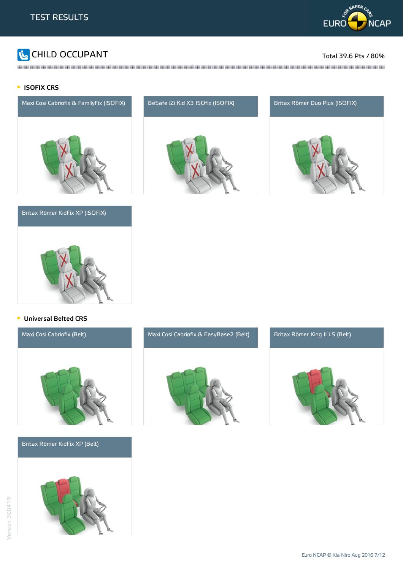

# CHILD OCCUPANT Total 39.6 Pts / 80%

#### **ISOFIX CRS**



#### Britax Römer KidFix XP (ISOFIX)







#### **Universal Belted CRS**



Britax Römer KidFix XP (Belt)





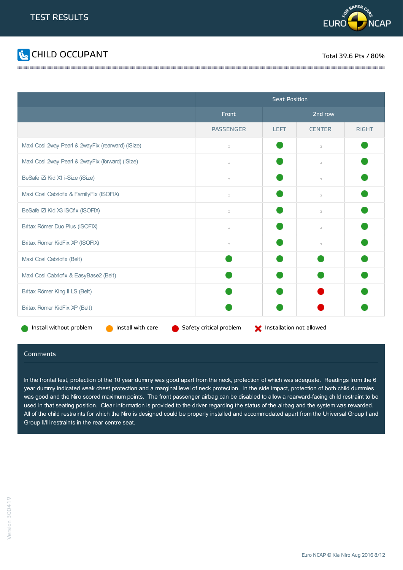



|                                                   | <b>Seat Position</b>    |                          |               |              |
|---------------------------------------------------|-------------------------|--------------------------|---------------|--------------|
|                                                   | Front                   |                          | 2nd row       |              |
|                                                   | <b>PASSENGER</b>        | <b>LEFT</b>              | <b>CENTER</b> | <b>RIGHT</b> |
| Maxi Cosi 2way Pearl & 2wayFix (rearward) (iSize) | $\Box$                  |                          | $\Box$        |              |
| Maxi Cosi 2way Pearl & 2wayFix (forward) (iSize)  | $\Box$                  |                          | $\Box$        |              |
| BeSafe iZi Kid X1 i-Size (iSize)                  | $\Box$                  |                          | $\Box$        |              |
| Maxi Cosi Cabriofix & FamilyFix (ISOFIX)          | $\Box$                  |                          | $\Box$        |              |
| BeSafe iZi Kid X3 ISOfix (ISOFIX)                 | $\Box$                  |                          | $\Box$        |              |
| Britax Römer Duo Plus (ISOFIX)                    | $\Box$                  |                          | $\Box$        |              |
| Britax Römer KidFix XP (ISOFIX)                   | $\Box$                  |                          | $\Box$        |              |
| Maxi Cosi Cabriofix (Belt)                        |                         |                          |               |              |
| Maxi Cosi Cabriofix & EasyBase2 (Belt)            |                         |                          |               |              |
| Britax Römer King II LS (Belt)                    |                         |                          |               |              |
| Britax Römer KidFix XP (Belt)                     |                         |                          |               |              |
| Install with care<br>Install without problem      | Safety critical problem | Installation not allowed |               |              |

#### Comments

In the frontal test, protection of the 10 year dummy was good apart from the neck, protection of which was adequate. Readings from the 6 year dummy indicated weak chest protection and a marginal level of neck protection. In the side impact, protection of both child dummies was good and the Niro scored maximum points. The front passenger airbag can be disabled to allow a rearward-facing child restraint to be used in that seating position. Clear information is provided to the driver regarding the status of the airbag and the system was rewarded. All of the child restraints for which the Niro is designed could be properly installed and accommodated apart from the Universal Group I and Group II/III restraints in the rear centre seat.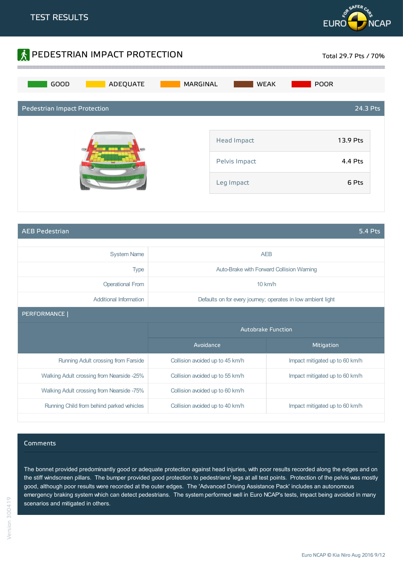



AEB Pedestrian 5.4 Pts

| <b>System Name</b>                        | <b>AEB</b>                      |                                                              |
|-------------------------------------------|---------------------------------|--------------------------------------------------------------|
| <b>Type</b>                               |                                 | Auto-Brake with Forward Collision Warning                    |
| <b>Operational From</b>                   |                                 | 10 km/h                                                      |
| Additional Information                    |                                 | Defaults on for every journey; operates in low ambient light |
| PERFORMANCE                               |                                 |                                                              |
|                                           | Autobrake Function              |                                                              |
|                                           | Avoidance                       | Mitigation                                                   |
| Running Adult crossing from Farside       | Collision avoided up to 45 km/h | Impact mitigated up to 60 km/h                               |
| Walking Adult crossing from Nearside -25% | Collision avoided up to 55 km/h | Impact mitigated up to 60 km/h                               |
| Walking Adult crossing from Nearside -75% | Collision avoided up to 60 km/h |                                                              |
|                                           |                                 |                                                              |

#### Comments

The bonnet provided predominantly good or adequate protection against head injuries, with poor results recorded along the edges and on the stiff windscreen pillars. The bumper provided good protection to pedestrians' legs at all test points. Protection of the pelvis was mostly good, although poor results were recorded at the outer edges. The 'Advanced Driving Assistance Pack' includes an autonomous emergency braking system which can detect pedestrians. The system performed well in Euro NCAP's tests, impact being avoided in many scenarios and mitigated in others.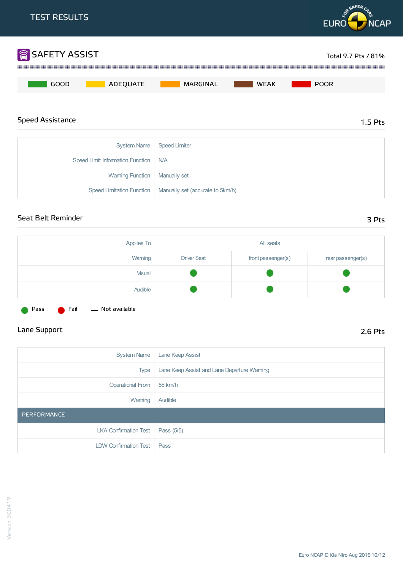

| Seat Belt Reminder | 3 Pts |
|--------------------|-------|
|                    |       |

| . . | . . | . . |
|-----|-----|-----|
|     |     |     |

| Applies To |                    | All seats          |                   |
|------------|--------------------|--------------------|-------------------|
| Warning    | <b>Driver Seat</b> | front passenger(s) | rear passenger(s) |
| Visual     |                    |                    |                   |
| Audible    |                    |                    |                   |

Speed Limitation Function | Manually set (accurate to 5km/h)

Pass **C** Fail - Not available

## Lane Support 2.6 Pts

| <b>System Name</b>    | Lane Keep Assist                            |
|-----------------------|---------------------------------------------|
| <b>Type</b>           | Lane Keep Assist and Lane Departure Warning |
| Operational From      | 55 km/h                                     |
| Warning               | Audible                                     |
| PERFORMANCE           |                                             |
| LKA Confirmation Test | Pass (5/5)                                  |
| LDW Confirmation Test | Pass                                        |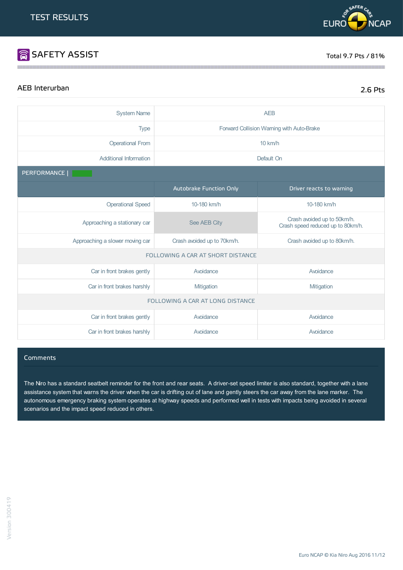## **SAFETY ASSIST** Total 9.7 Pts / 81%

**RASAFERC** 

**EURO** 

## AEB Interurban 2.6 Pts

**NCAP** 

| <b>System Name</b>               | <b>AEB</b>                                                 |                                                                  |  |  |
|----------------------------------|------------------------------------------------------------|------------------------------------------------------------------|--|--|
|                                  |                                                            |                                                                  |  |  |
| <b>Type</b>                      |                                                            | Forward Collision Warning with Auto-Brake                        |  |  |
| <b>Operational From</b>          |                                                            | 10 km/h                                                          |  |  |
| <b>Additional Information</b>    |                                                            | Default On                                                       |  |  |
| PERFORMANCE                      |                                                            |                                                                  |  |  |
|                                  | Autobrake Function Only                                    | Driver reacts to warning                                         |  |  |
| <b>Operational Speed</b>         | 10-180 km/h                                                | 10-180 km/h                                                      |  |  |
| Approaching a stationary car     | See AEB City                                               | Crash avoided up to 50km/h.<br>Crash speed reduced up to 80km/h. |  |  |
| Approaching a slower moving car  | Crash avoided up to 70km/h.<br>Crash avoided up to 80km/h. |                                                                  |  |  |
|                                  | FOLLOWING A CAR AT SHORT DISTANCE                          |                                                                  |  |  |
| Car in front brakes gently       | Avoidance                                                  | Avoidance                                                        |  |  |
| Car in front brakes harshly      | Mitigation                                                 | Mitigation                                                       |  |  |
| FOLLOWING A CAR AT LONG DISTANCE |                                                            |                                                                  |  |  |
| Car in front brakes gently       | Avoidance                                                  | Avoidance                                                        |  |  |
| Car in front brakes harshly      | Avoidance                                                  | Avoidance                                                        |  |  |

#### **Comments**

The Niro has a standard seatbelt reminder for the front and rear seats. A driver-set speed limiter is also standard, together with a lane assistance system that warns the driver when the car is drifting out of lane and gently steers the car away from the lane marker. The autonomous emergency braking system operates at highway speeds and performed well in tests with impacts being avoided in several scenarios and the impact speed reduced in others.